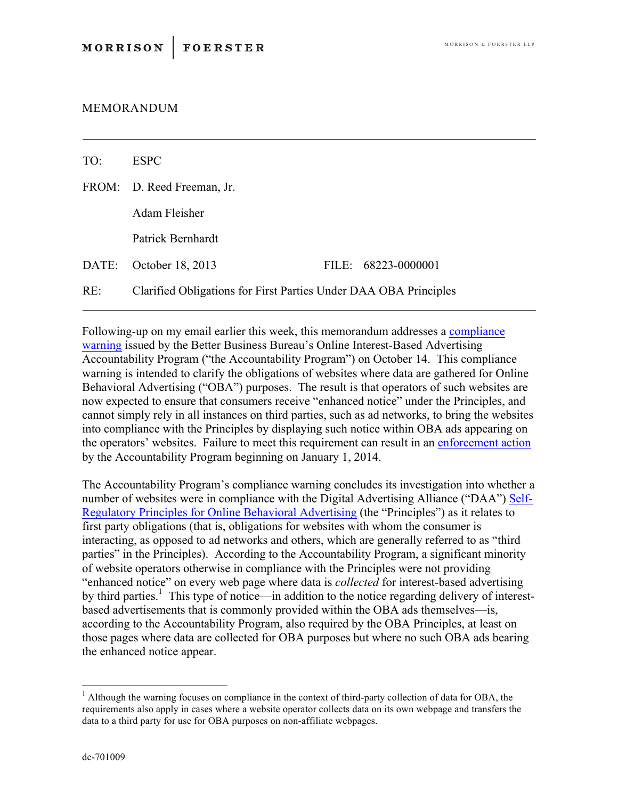## MEMORANDUM

| TO: | <b>ESPC</b>                                                      |  |                     |
|-----|------------------------------------------------------------------|--|---------------------|
|     | FROM: D. Reed Freeman, Jr.                                       |  |                     |
|     | Adam Fleisher                                                    |  |                     |
|     | Patrick Bernhardt                                                |  |                     |
|     | DATE: October 18, 2013                                           |  | FILE: 68223-0000001 |
| RE: | Clarified Obligations for First Parties Under DAA OBA Principles |  |                     |

Following-up on my email earlier this week, this memorandum addresses a compliance warning issued by the Better Business Bureau's Online Interest-Based Advertising Accountability Program ("the Accountability Program") on October 14. This compliance warning is intended to clarify the obligations of websites where data are gathered for Online Behavioral Advertising ("OBA") purposes. The result is that operators of such websites are now expected to ensure that consumers receive "enhanced notice" under the Principles, and cannot simply rely in all instances on third parties, such as ad networks, to bring the websites into compliance with the Principles by displaying such notice within OBA ads appearing on the operators' websites. Failure to meet this requirement can result in an enforcement action by the Accountability Program beginning on January 1, 2014.

The Accountability Program's compliance warning concludes its investigation into whether a number of websites were in compliance with the Digital Advertising Alliance ("DAA") Self-Regulatory Principles for Online Behavioral Advertising (the "Principles") as it relates to first party obligations (that is, obligations for websites with whom the consumer is interacting, as opposed to ad networks and others, which are generally referred to as "third parties" in the Principles). According to the Accountability Program, a significant minority of website operators otherwise in compliance with the Principles were not providing "enhanced notice" on every web page where data is *collected* for interest-based advertising by third parties.<sup>1</sup> This type of notice—in addition to the notice regarding delivery of interestbased advertisements that is commonly provided within the OBA ads themselves—is, according to the Accountability Program, also required by the OBA Principles, at least on those pages where data are collected for OBA purposes but where no such OBA ads bearing the enhanced notice appear.

 $<sup>1</sup>$  Although the warning focuses on compliance in the context of third-party collection of data for OBA, the</sup> requirements also apply in cases where a website operator collects data on its own webpage and transfers the data to a third party for use for OBA purposes on non-affiliate webpages.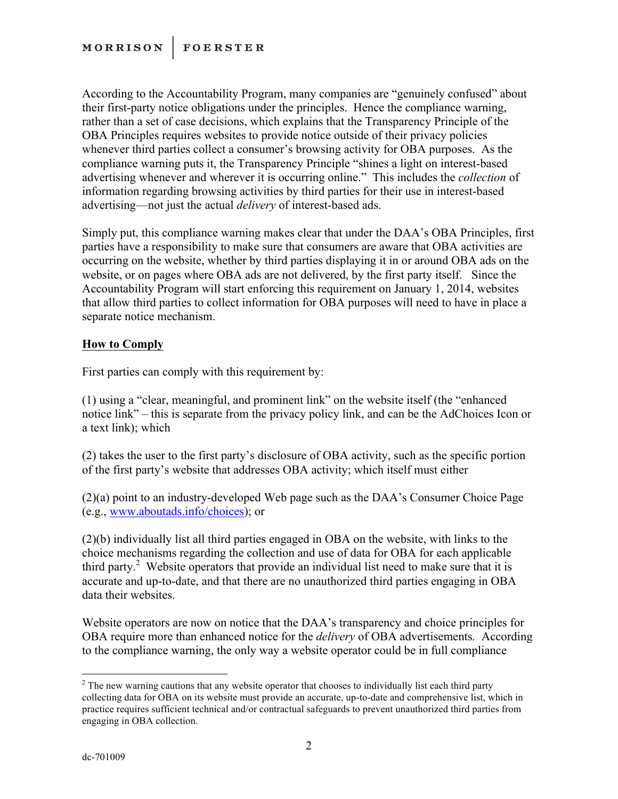According to the Accountability Program, many companies are "genuinely confused" about their first-party notice obligations under the principles. Hence the compliance warning, rather than a set of case decisions, which explains that the Transparency Principle of the OBA Principles requires websites to provide notice outside of their privacy policies whenever third parties collect a consumer's browsing activity for OBA purposes. As the compliance warning puts it, the Transparency Principle "shines a light on interest-based advertising whenever and wherever it is occurring online." This includes the *collection* of information regarding browsing activities by third parties for their use in interest-based advertising—not just the actual *delivery* of interest-based ads.

Simply put, this compliance warning makes clear that under the DAA's OBA Principles, first parties have a responsibility to make sure that consumers are aware that OBA activities are occurring on the website, whether by third parties displaying it in or around OBA ads on the website, or on pages where OBA ads are not delivered, by the first party itself. Since the Accountability Program will start enforcing this requirement on January 1, 2014, websites that allow third parties to collect information for OBA purposes will need to have in place a separate notice mechanism.

## **How to Comply**

First parties can comply with this requirement by:

(1) using a "clear, meaningful, and prominent link" on the website itself (the "enhanced notice link" – this is separate from the privacy policy link, and can be the AdChoices Icon or a text link); which

(2) takes the user to the first party's disclosure of OBA activity, such as the specific portion of the first party's website that addresses OBA activity; which itself must either

(2)(a) point to an industry-developed Web page such as the DAA's Consumer Choice Page (e.g., www.aboutads.info/choices); or

(2)(b) individually list all third parties engaged in OBA on the website, with links to the choice mechanisms regarding the collection and use of data for OBA for each applicable third party.<sup>2</sup> Website operators that provide an individual list need to make sure that it is accurate and up-to-date, and that there are no unauthorized third parties engaging in OBA data their websites

Website operators are now on notice that the DAA's transparency and choice principles for OBA require more than enhanced notice for the *delivery* of OBA advertisements*.* According to the compliance warning, the only way a website operator could be in full compliance

<sup>&</sup>lt;sup>2</sup> The new warning cautions that any website operator that chooses to individually list each third party collecting data for OBA on its website must provide an accurate, up-to-date and comprehensive list, which in practice requires sufficient technical and/or contractual safeguards to prevent unauthorized third parties from engaging in OBA collection.